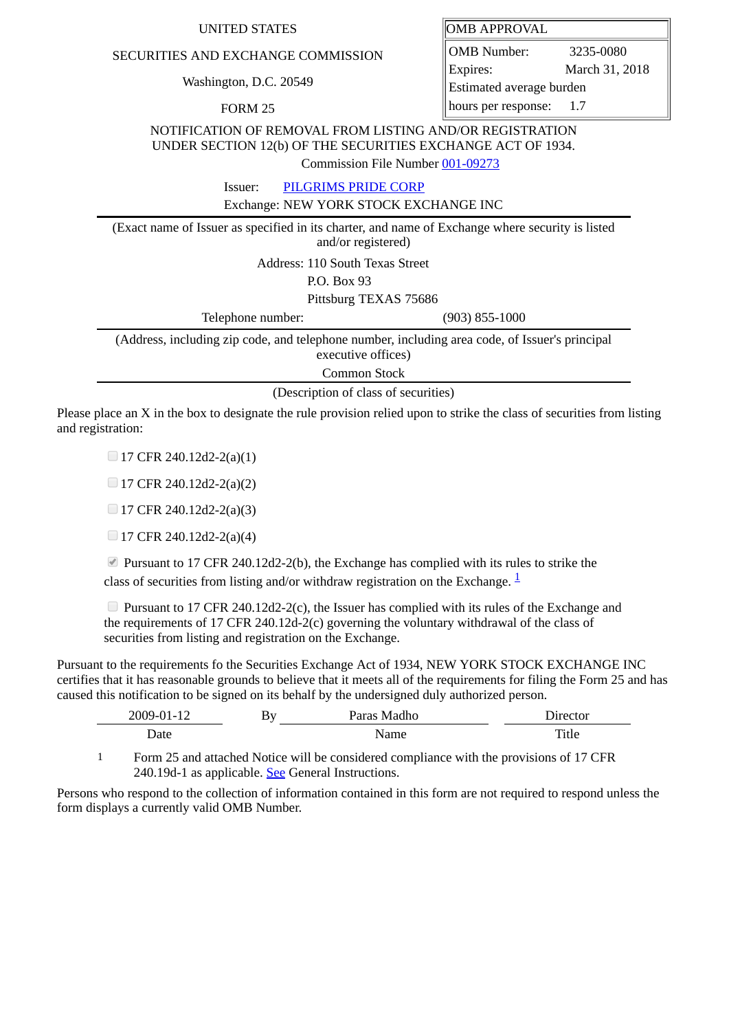## UNITED STATES **OMB** APPROVAL

## SECURITIES AND EXCHANGE COMMISSION

Washington, D.C. 20549

FORM 25

OMB Number: 3235-0080 Expires: March 31, 2018 Estimated average burden hours per response: 1.7

NOTIFICATION OF REMOVAL FROM LISTING AND/OR REGISTRATION UNDER SECTION 12(b) OF THE SECURITIES EXCHANGE ACT OF 1934.

Commission File Number [001-09273](file:///cgi-bin/browse-edgar?action=getcompany&filenum=001-09273)

Issuer: [PILGRIMS PRIDE CORP](http://www.sec.gov/cgi-bin/browse-edgar?action=getcompany&CIK=802481)

Exchange: NEW YORK STOCK EXCHANGE INC

(Exact name of Issuer as specified in its charter, and name of Exchange where security is listed and/or registered)

Address: 110 South Texas Street

P.O. Box 93

Pittsburg TEXAS 75686

Telephone number: (903) 855-1000

(Address, including zip code, and telephone number, including area code, of Issuer's principal executive offices)

Common Stock

(Description of class of securities)

Please place an X in the box to designate the rule provision relied upon to strike the class of securities from listing and registration:

 $\Box$  17 CFR 240.12d2-2(a)(1)

 $\Box$  17 CFR 240.12d2-2(a)(2)

 $\Box$  17 CFR 240.12d2-2(a)(3)

 $\Box$  17 CFR 240.12d2-2(a)(4)

**Pursuant to 17 CFR 240.12d2-2(b), the Exchange has complied with its rules to strike the** class of securities from listing and/or withdraw registration on the Exchange.  $\frac{1}{2}$  $\frac{1}{2}$  $\frac{1}{2}$ 

**Pursuant to 17 CFR 240.12d2-2(c), the Issuer has complied with its rules of the Exchange and** the requirements of 17 CFR 240.12d-2(c) governing the voluntary withdrawal of the class of securities from listing and registration on the Exchange.

Pursuant to the requirements fo the Securities Exchange Act of 1934, NEW YORK STOCK EXCHANGE INC certifies that it has reasonable grounds to believe that it meets all of the requirements for filing the Form 25 and has caused this notification to be signed on its behalf by the undersigned duly authorized person.

| 2009-01-12 | By | Paras Madho | Jırector |
|------------|----|-------------|----------|
| Date       |    | Name        | Title    |

<span id="page-0-0"></span>1 Form 25 and attached Notice will be considered compliance with the provisions of 17 CFR 240.19d-1 as applicable. See General Instructions.

Persons who respond to the collection of information contained in this form are not required to respond unless the form displays a currently valid OMB Number.